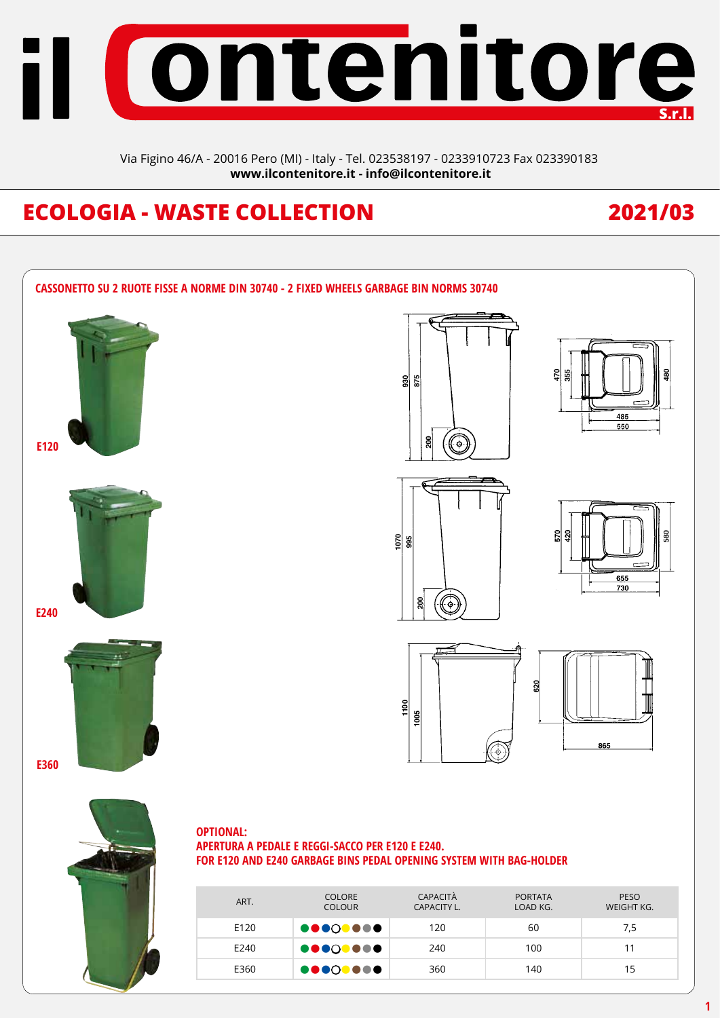

Via Figino 46/A - 20016 Pero (MI) - Italy - Tel. 023538197 - 0233910723 Fax 023390183 **www.ilcontenitore.it - info@ilcontenitore.it**

# **ECOLOGIA - WASTE COLLECTION 2021/03**

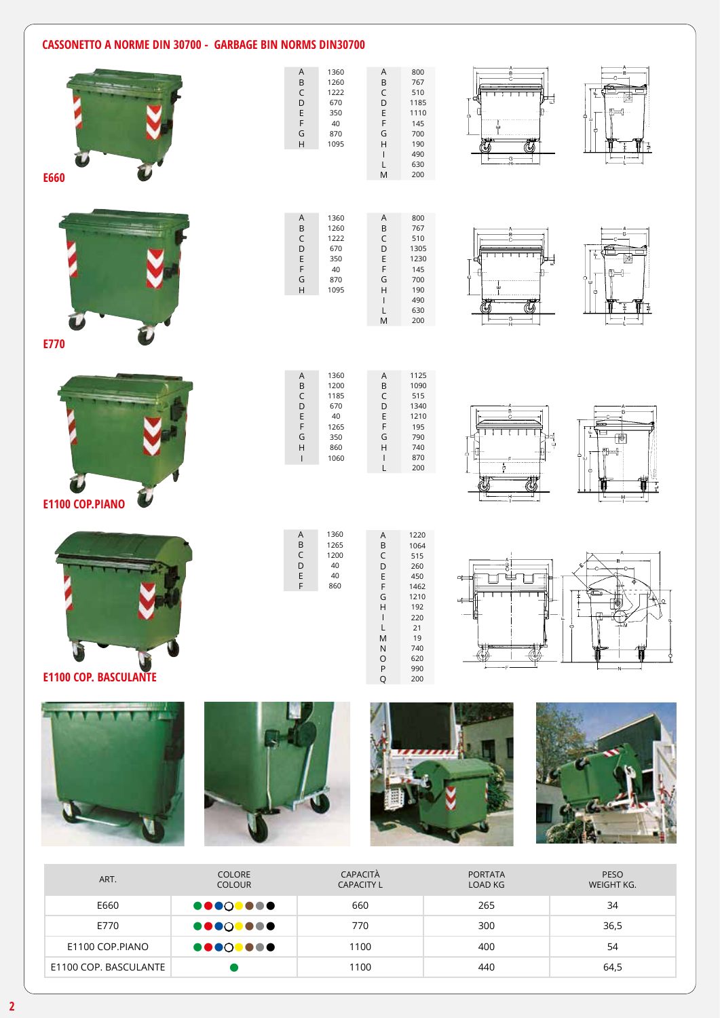## **CASSONETTO A NORME DIN 30700 - GARBAGE BIN NORMS DIN30700**



| ART.                  | <b>COLORE</b><br><b>COLOUR</b> | CAPACITÀ<br><b>CAPACITY L</b> | <b>PORTATA</b><br>LOAD KG | PESO<br>WEIGHT KG. |
|-----------------------|--------------------------------|-------------------------------|---------------------------|--------------------|
| E660                  | <b>00000000</b>                | 660                           | 265                       | 34                 |
| E770                  | <b>00000000</b>                | 770                           | 300                       | 36,5               |
| E1100 COP.PIANO       | <b></b>                        | 1100                          | 400                       | 54                 |
| E1100 COP. BASCULANTE |                                | 1100                          | 440                       | 64,5               |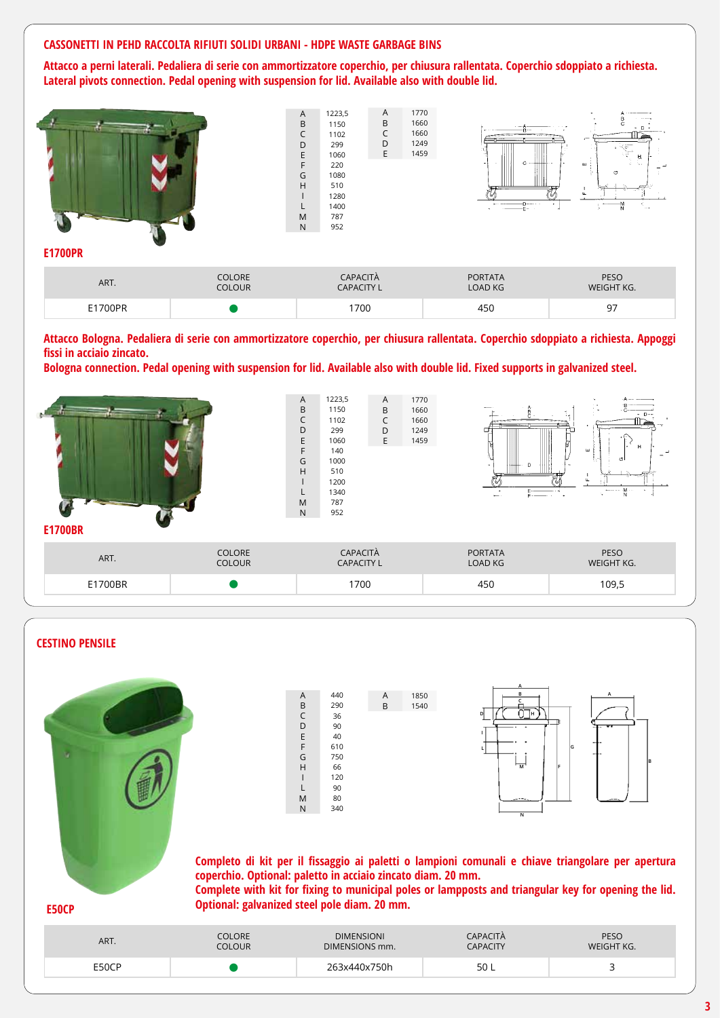#### **CASSONETTI IN PEHD RACCOLTA RIFIUTI SOLIDI URBANI - HDPE WASTE GARBAGE BINS**

**Attacco a perni laterali. Pedaliera di serie con ammortizzatore coperchio, per chiusura rallentata. Coperchio sdoppiato a richiesta. Lateral pivots connection. Pedal opening with suspension for lid. Available also with double lid.**



**Attacco Bologna. Pedaliera di serie con ammortizzatore coperchio, per chiusura rallentata. Coperchio sdoppiato a richiesta. Appoggi fissi in acciaio zincato.**

**Bologna connection. Pedal opening with suspension for lid. Available also with double lid. Fixed supports in galvanized steel.**





### **3**